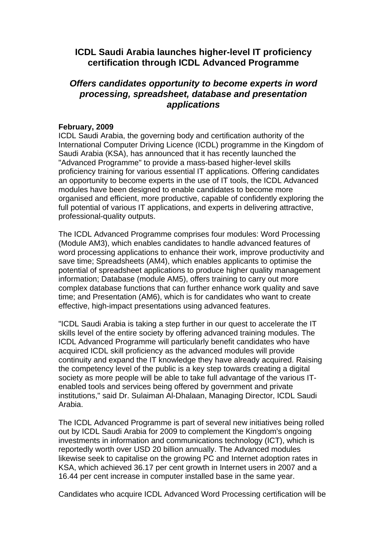## **ICDL Saudi Arabia launches higher-level IT proficiency certification through ICDL Advanced Programme**

## *Offers candidates opportunity to become experts in word processing, spreadsheet, database and presentation applications*

## **February, 2009**

ICDL Saudi Arabia, the governing body and certification authority of the International Computer Driving Licence (ICDL) programme in the Kingdom of Saudi Arabia (KSA), has announced that it has recently launched the "Advanced Programme" to provide a mass-based higher-level skills proficiency training for various essential IT applications. Offering candidates an opportunity to become experts in the use of IT tools, the ICDL Advanced modules have been designed to enable candidates to become more organised and efficient, more productive, capable of confidently exploring the full potential of various IT applications, and experts in delivering attractive, professional-quality outputs.

The ICDL Advanced Programme comprises four modules: Word Processing (Module AM3), which enables candidates to handle advanced features of word processing applications to enhance their work, improve productivity and save time; Spreadsheets (AM4), which enables applicants to optimise the potential of spreadsheet applications to produce higher quality management information; Database (module AM5), offers training to carry out more complex database functions that can further enhance work quality and save time; and Presentation (AM6), which is for candidates who want to create effective, high-impact presentations using advanced features.

"ICDL Saudi Arabia is taking a step further in our quest to accelerate the IT skills level of the entire society by offering advanced training modules. The ICDL Advanced Programme will particularly benefit candidates who have acquired ICDL skill proficiency as the advanced modules will provide continuity and expand the IT knowledge they have already acquired. Raising the competency level of the public is a key step towards creating a digital society as more people will be able to take full advantage of the various ITenabled tools and services being offered by government and private institutions," said Dr. Sulaiman Al-Dhalaan, Managing Director, ICDL Saudi Arabia.

The ICDL Advanced Programme is part of several new initiatives being rolled out by ICDL Saudi Arabia for 2009 to complement the Kingdom's ongoing investments in information and communications technology (ICT), which is reportedly worth over USD 20 billion annually. The Advanced modules likewise seek to capitalise on the growing PC and Internet adoption rates in KSA, which achieved 36.17 per cent growth in Internet users in 2007 and a 16.44 per cent increase in computer installed base in the same year.

Candidates who acquire ICDL Advanced Word Processing certification will be